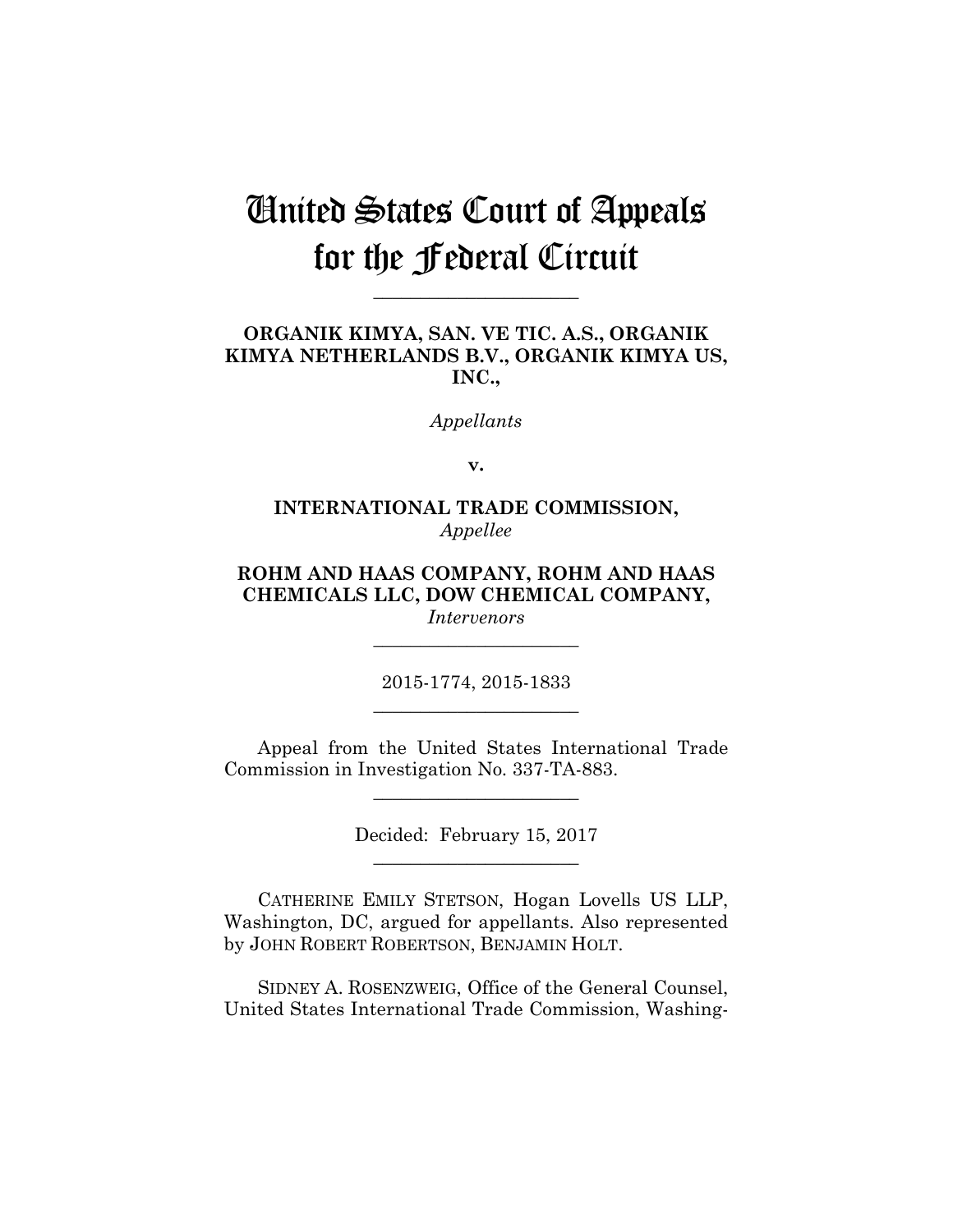# United States Court of Appeals for the Federal Circuit

**\_\_\_\_\_\_\_\_\_\_\_\_\_\_\_\_\_\_\_\_\_\_** 

# **ORGANIK KIMYA, SAN. VE TIC. A.S., ORGANIK KIMYA NETHERLANDS B.V., ORGANIK KIMYA US, INC.,**

*Appellants*

**v.**

# **INTERNATIONAL TRADE COMMISSION,** *Appellee*

# **ROHM AND HAAS COMPANY, ROHM AND HAAS CHEMICALS LLC, DOW CHEMICAL COMPANY,**

*Intervenors* **\_\_\_\_\_\_\_\_\_\_\_\_\_\_\_\_\_\_\_\_\_\_** 

2015-1774, 2015-1833 **\_\_\_\_\_\_\_\_\_\_\_\_\_\_\_\_\_\_\_\_\_\_** 

Appeal from the United States International Trade Commission in Investigation No. 337-TA-883.

**\_\_\_\_\_\_\_\_\_\_\_\_\_\_\_\_\_\_\_\_\_\_** 

Decided: February 15, 2017 **\_\_\_\_\_\_\_\_\_\_\_\_\_\_\_\_\_\_\_\_\_\_** 

CATHERINE EMILY STETSON, Hogan Lovells US LLP, Washington, DC, argued for appellants. Also represented by JOHN ROBERT ROBERTSON, BENJAMIN HOLT.

SIDNEY A. ROSENZWEIG, Office of the General Counsel, United States International Trade Commission, Washing-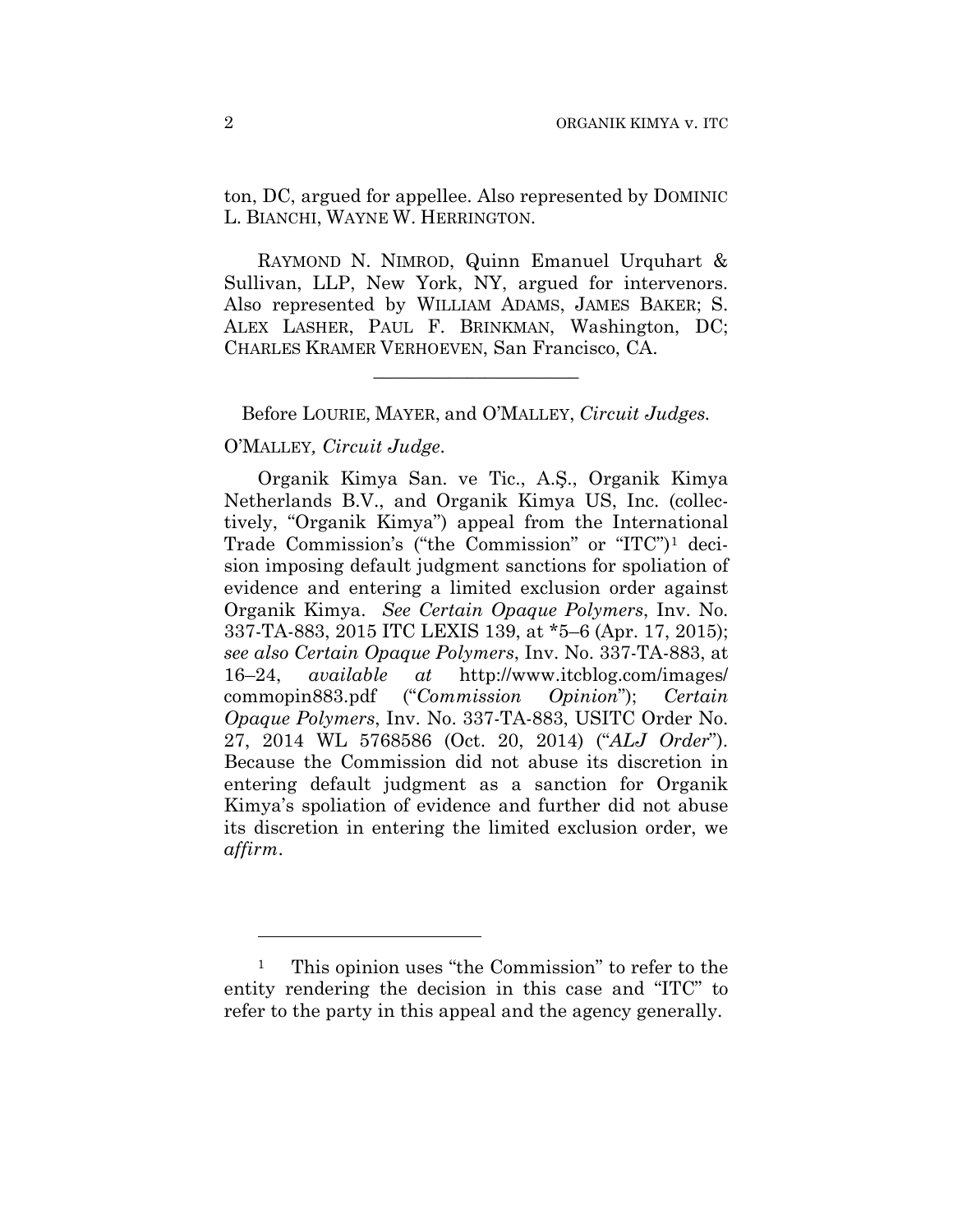ton, DC, argued for appellee. Also represented by DOMINIC L. BIANCHI, WAYNE W. HERRINGTON.

RAYMOND N. NIMROD, Quinn Emanuel Urquhart & Sullivan, LLP, New York, NY, argued for intervenors. Also represented by WILLIAM ADAMS, JAMES BAKER; S. ALEX LASHER, PAUL F. BRINKMAN, Washington, DC; CHARLES KRAMER VERHOEVEN, San Francisco, CA.

Before LOURIE, MAYER, and O'MALLEY, *Circuit Judges.*

**\_\_\_\_\_\_\_\_\_\_\_\_\_\_\_\_\_\_\_\_\_\_** 

# O'MALLEY*, Circuit Judge*.

1

Organik Kimya San. ve Tic., A.Ş., Organik Kimya Netherlands B.V., and Organik Kimya US, Inc. (collectively, "Organik Kimya") appeal from the International Trade Commission's ("the Commission" or "ITC")1 decision imposing default judgment sanctions for spoliation of evidence and entering a limited exclusion order against Organik Kimya. *See Certain Opaque Polymers*, Inv. No. 337-TA-883, 2015 ITC LEXIS 139, at \*5–6 (Apr. 17, 2015); *see also Certain Opaque Polymers*, Inv. No. 337-TA-883, at 16–24, *available at* http://www.itcblog.com/images/ commopin883.pdf ("*Commission Opinion*"); *Certain Opaque Polymers*, Inv. No. 337-TA-883, USITC Order No. 27, 2014 WL 5768586 (Oct. 20, 2014) ("*ALJ Order*"). Because the Commission did not abuse its discretion in entering default judgment as a sanction for Organik Kimya's spoliation of evidence and further did not abuse its discretion in entering the limited exclusion order, we *affirm*.

<sup>1</sup> This opinion uses "the Commission" to refer to the entity rendering the decision in this case and "ITC" to refer to the party in this appeal and the agency generally.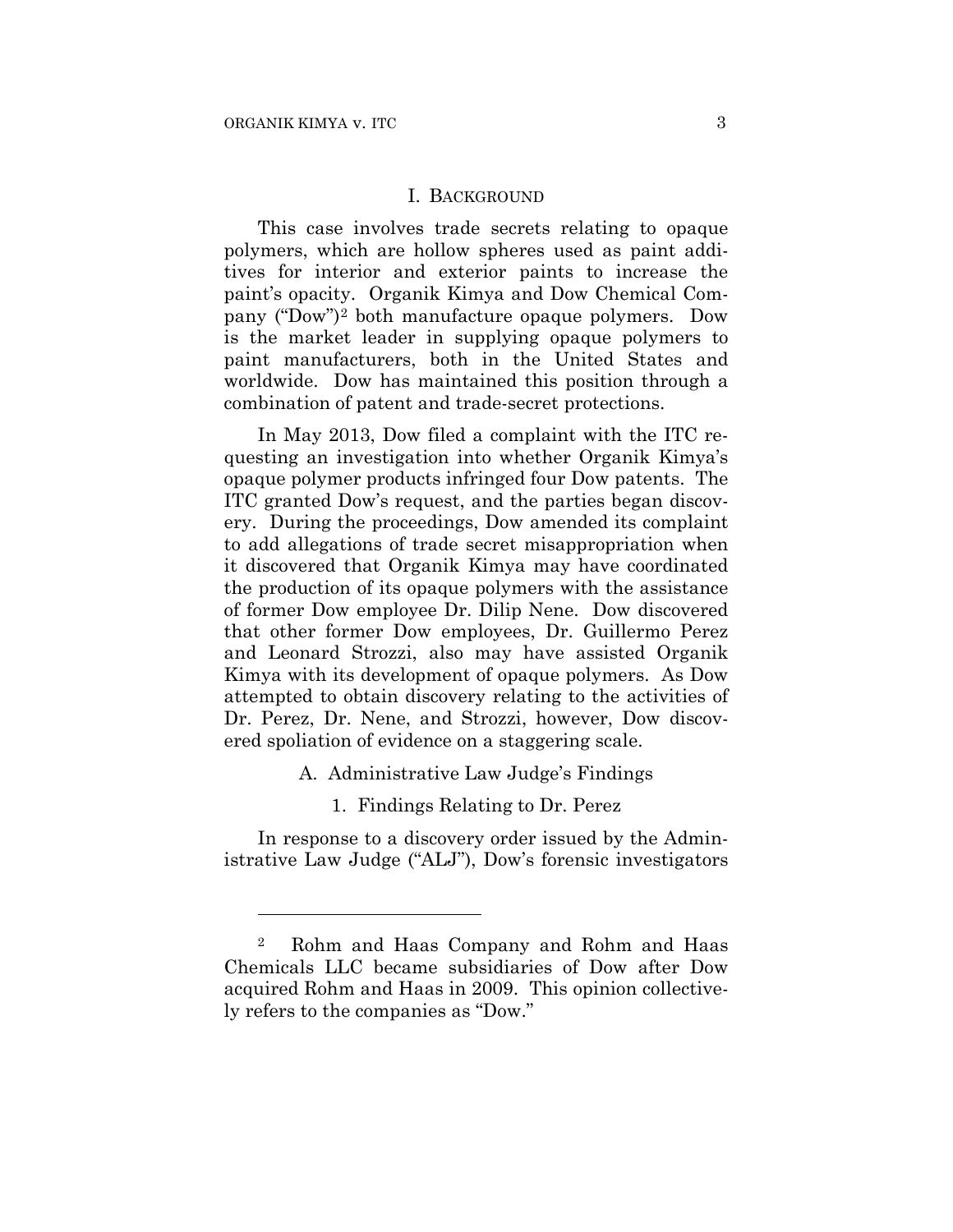<u>.</u>

#### I. BACKGROUND

This case involves trade secrets relating to opaque polymers, which are hollow spheres used as paint additives for interior and exterior paints to increase the paint's opacity. Organik Kimya and Dow Chemical Company ("Dow")2 both manufacture opaque polymers. Dow is the market leader in supplying opaque polymers to paint manufacturers, both in the United States and worldwide. Dow has maintained this position through a combination of patent and trade-secret protections.

In May 2013, Dow filed a complaint with the ITC requesting an investigation into whether Organik Kimya's opaque polymer products infringed four Dow patents. The ITC granted Dow's request, and the parties began discovery. During the proceedings, Dow amended its complaint to add allegations of trade secret misappropriation when it discovered that Organik Kimya may have coordinated the production of its opaque polymers with the assistance of former Dow employee Dr. Dilip Nene. Dow discovered that other former Dow employees, Dr. Guillermo Perez and Leonard Strozzi, also may have assisted Organik Kimya with its development of opaque polymers. As Dow attempted to obtain discovery relating to the activities of Dr. Perez, Dr. Nene, and Strozzi, however, Dow discovered spoliation of evidence on a staggering scale.

- A. Administrative Law Judge's Findings
	- 1. Findings Relating to Dr. Perez

In response to a discovery order issued by the Administrative Law Judge ("ALJ"), Dow's forensic investigators

<sup>2</sup> Rohm and Haas Company and Rohm and Haas Chemicals LLC became subsidiaries of Dow after Dow acquired Rohm and Haas in 2009. This opinion collectively refers to the companies as "Dow."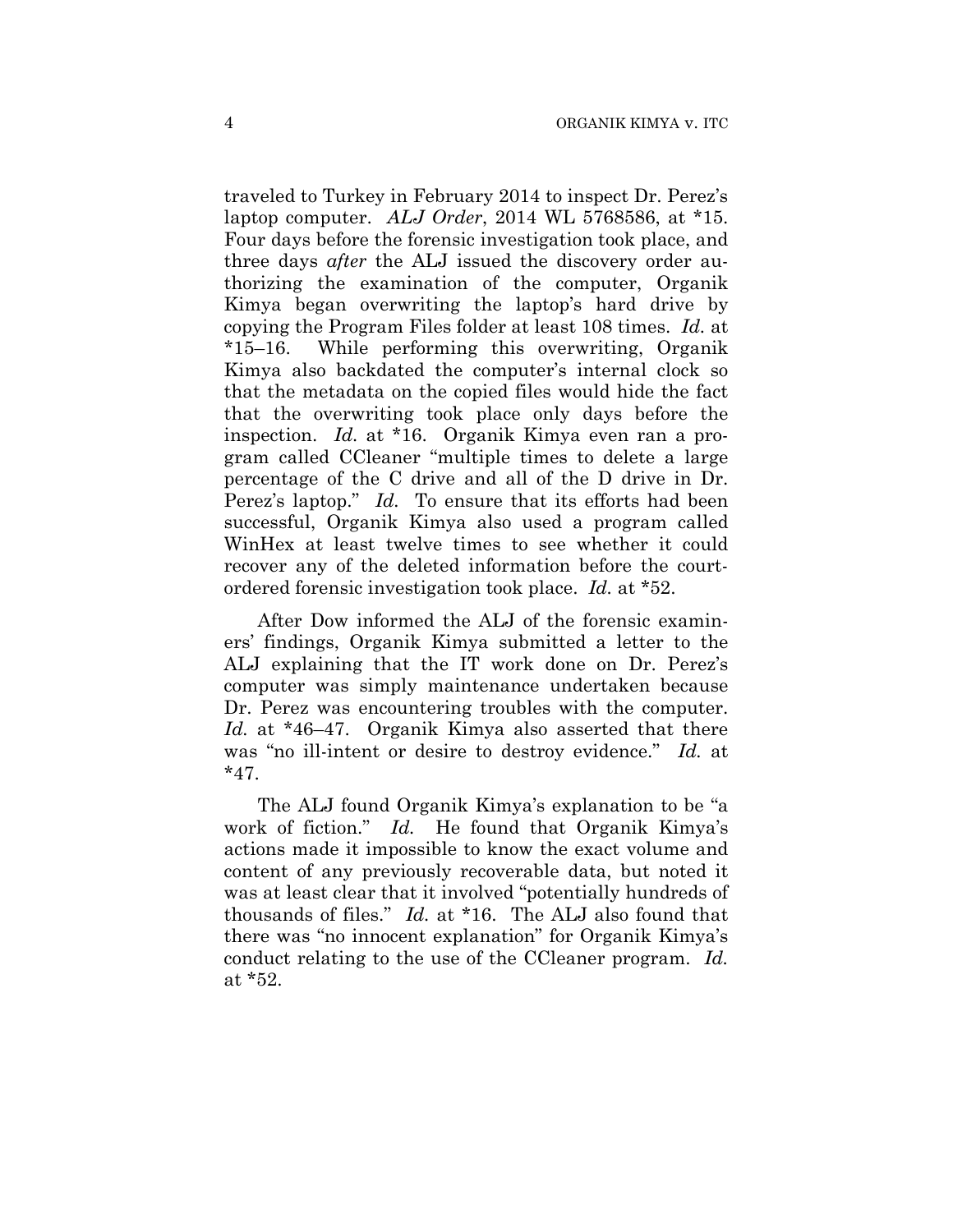traveled to Turkey in February 2014 to inspect Dr. Perez's laptop computer. *ALJ Order*, 2014 WL 5768586, at \*15. Four days before the forensic investigation took place, and three days *after* the ALJ issued the discovery order authorizing the examination of the computer, Organik Kimya began overwriting the laptop's hard drive by copying the Program Files folder at least 108 times. *Id.* at \*15–16. While performing this overwriting, Organik Kimya also backdated the computer's internal clock so that the metadata on the copied files would hide the fact that the overwriting took place only days before the inspection. *Id.* at \*16. Organik Kimya even ran a program called CCleaner "multiple times to delete a large percentage of the C drive and all of the D drive in Dr. Perez's laptop." *Id.* To ensure that its efforts had been successful, Organik Kimya also used a program called WinHex at least twelve times to see whether it could recover any of the deleted information before the courtordered forensic investigation took place. *Id.* at \*52.

After Dow informed the ALJ of the forensic examiners' findings, Organik Kimya submitted a letter to the ALJ explaining that the IT work done on Dr. Perez's computer was simply maintenance undertaken because Dr. Perez was encountering troubles with the computer. *Id.* at \*46–47. Organik Kimya also asserted that there was "no ill-intent or desire to destroy evidence." *Id.* at  $*47.$ 

The ALJ found Organik Kimya's explanation to be "a work of fiction." *Id.* He found that Organik Kimya's actions made it impossible to know the exact volume and content of any previously recoverable data, but noted it was at least clear that it involved "potentially hundreds of thousands of files." *Id.* at \*16. The ALJ also found that there was "no innocent explanation" for Organik Kimya's conduct relating to the use of the CCleaner program. *Id.* at \*52.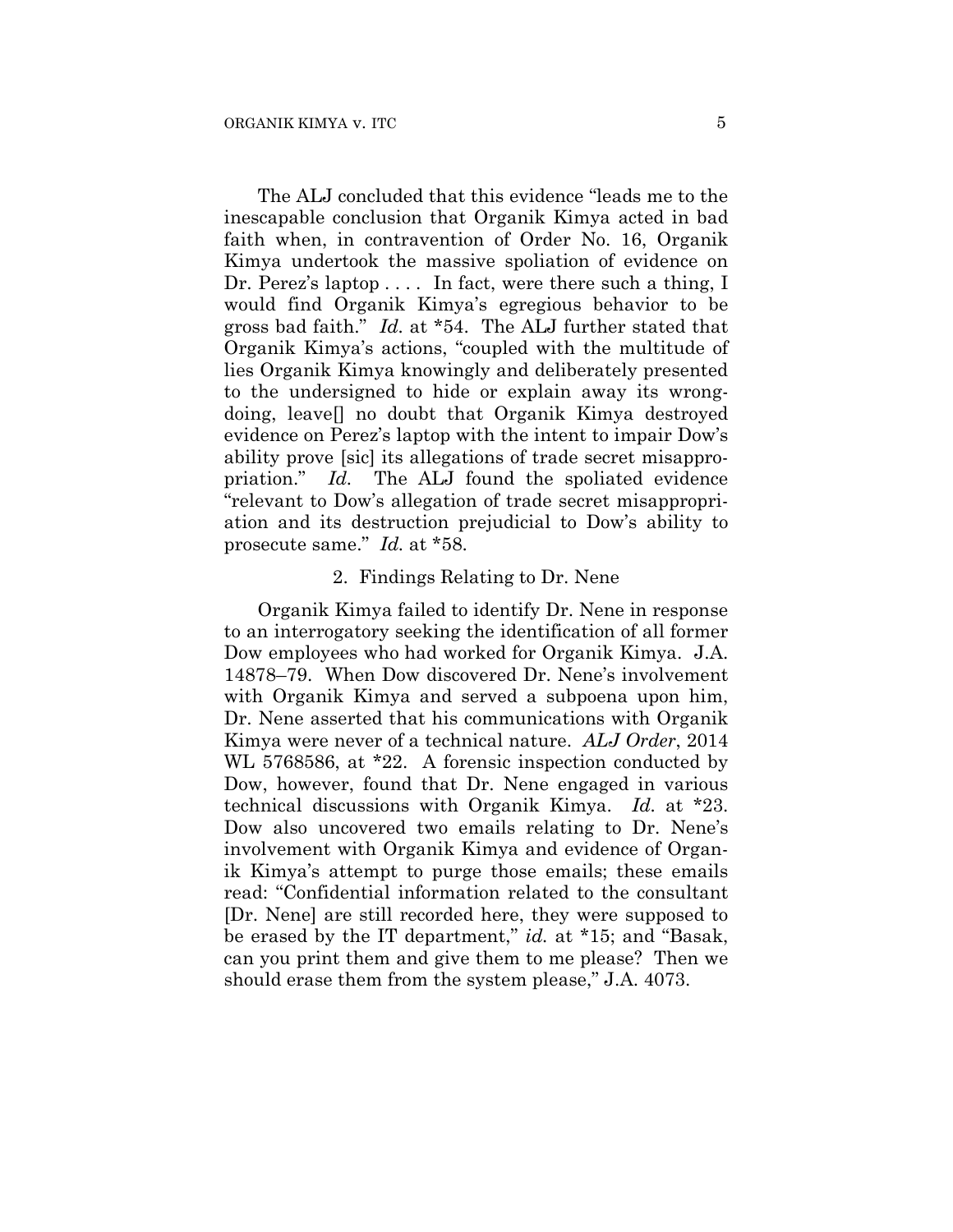The ALJ concluded that this evidence "leads me to the inescapable conclusion that Organik Kimya acted in bad faith when, in contravention of Order No. 16, Organik Kimya undertook the massive spoliation of evidence on Dr. Perez's laptop .... In fact, were there such a thing, I would find Organik Kimya's egregious behavior to be gross bad faith." *Id.* at \*54. The ALJ further stated that Organik Kimya's actions, "coupled with the multitude of lies Organik Kimya knowingly and deliberately presented to the undersigned to hide or explain away its wrongdoing, leave[] no doubt that Organik Kimya destroyed evidence on Perez's laptop with the intent to impair Dow's ability prove [sic] its allegations of trade secret misappropriation." *Id.* The ALJ found the spoliated evidence "relevant to Dow's allegation of trade secret misappropriation and its destruction prejudicial to Dow's ability to prosecute same." *Id.* at \*58.

# 2. Findings Relating to Dr. Nene

Organik Kimya failed to identify Dr. Nene in response to an interrogatory seeking the identification of all former Dow employees who had worked for Organik Kimya. J.A. 14878–79. When Dow discovered Dr. Nene's involvement with Organik Kimya and served a subpoena upon him, Dr. Nene asserted that his communications with Organik Kimya were never of a technical nature. *ALJ Order*, 2014 WL 5768586, at \*22. A forensic inspection conducted by Dow, however, found that Dr. Nene engaged in various technical discussions with Organik Kimya. *Id.* at \*23. Dow also uncovered two emails relating to Dr. Nene's involvement with Organik Kimya and evidence of Organik Kimya's attempt to purge those emails; these emails read: "Confidential information related to the consultant [Dr. Nene] are still recorded here, they were supposed to be erased by the IT department," *id.* at \*15; and "Basak, can you print them and give them to me please? Then we should erase them from the system please," J.A. 4073.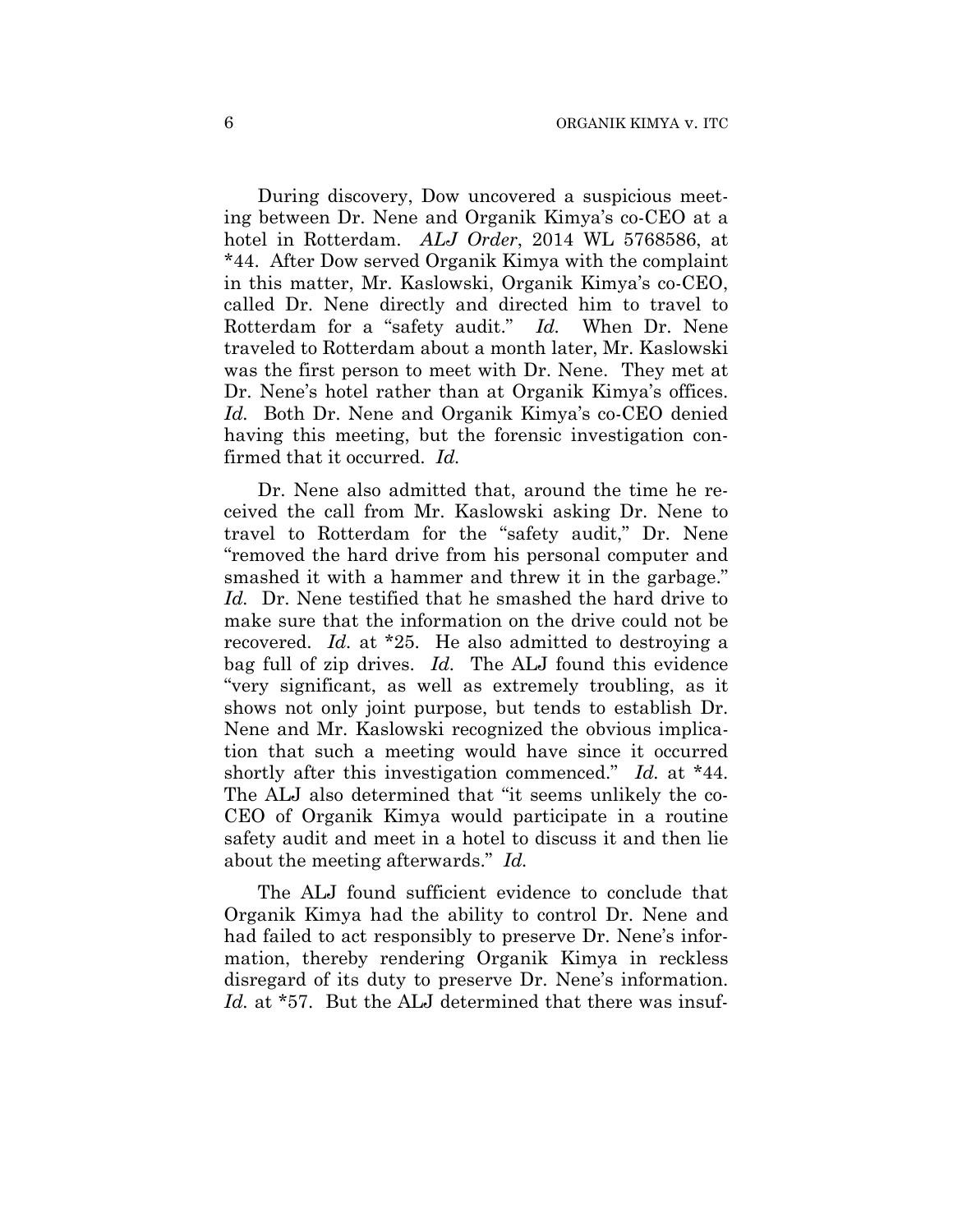During discovery, Dow uncovered a suspicious meeting between Dr. Nene and Organik Kimya's co-CEO at a hotel in Rotterdam. *ALJ Order*, 2014 WL 5768586, at \*44. After Dow served Organik Kimya with the complaint in this matter, Mr. Kaslowski, Organik Kimya's co-CEO, called Dr. Nene directly and directed him to travel to Rotterdam for a "safety audit." *Id.* When Dr. Nene traveled to Rotterdam about a month later, Mr. Kaslowski was the first person to meet with Dr. Nene. They met at Dr. Nene's hotel rather than at Organik Kimya's offices. *Id.* Both Dr. Nene and Organik Kimya's co-CEO denied having this meeting, but the forensic investigation confirmed that it occurred. *Id.*

Dr. Nene also admitted that, around the time he received the call from Mr. Kaslowski asking Dr. Nene to travel to Rotterdam for the "safety audit," Dr. Nene "removed the hard drive from his personal computer and smashed it with a hammer and threw it in the garbage." *Id.* Dr. Nene testified that he smashed the hard drive to make sure that the information on the drive could not be recovered. *Id.* at \*25. He also admitted to destroying a bag full of zip drives. *Id.* The ALJ found this evidence "very significant, as well as extremely troubling, as it shows not only joint purpose, but tends to establish Dr. Nene and Mr. Kaslowski recognized the obvious implication that such a meeting would have since it occurred shortly after this investigation commenced." *Id.* at \*44. The ALJ also determined that "it seems unlikely the co-CEO of Organik Kimya would participate in a routine safety audit and meet in a hotel to discuss it and then lie about the meeting afterwards." *Id.*

The ALJ found sufficient evidence to conclude that Organik Kimya had the ability to control Dr. Nene and had failed to act responsibly to preserve Dr. Nene's information, thereby rendering Organik Kimya in reckless disregard of its duty to preserve Dr. Nene's information. *Id.* at \*57. But the ALJ determined that there was insuf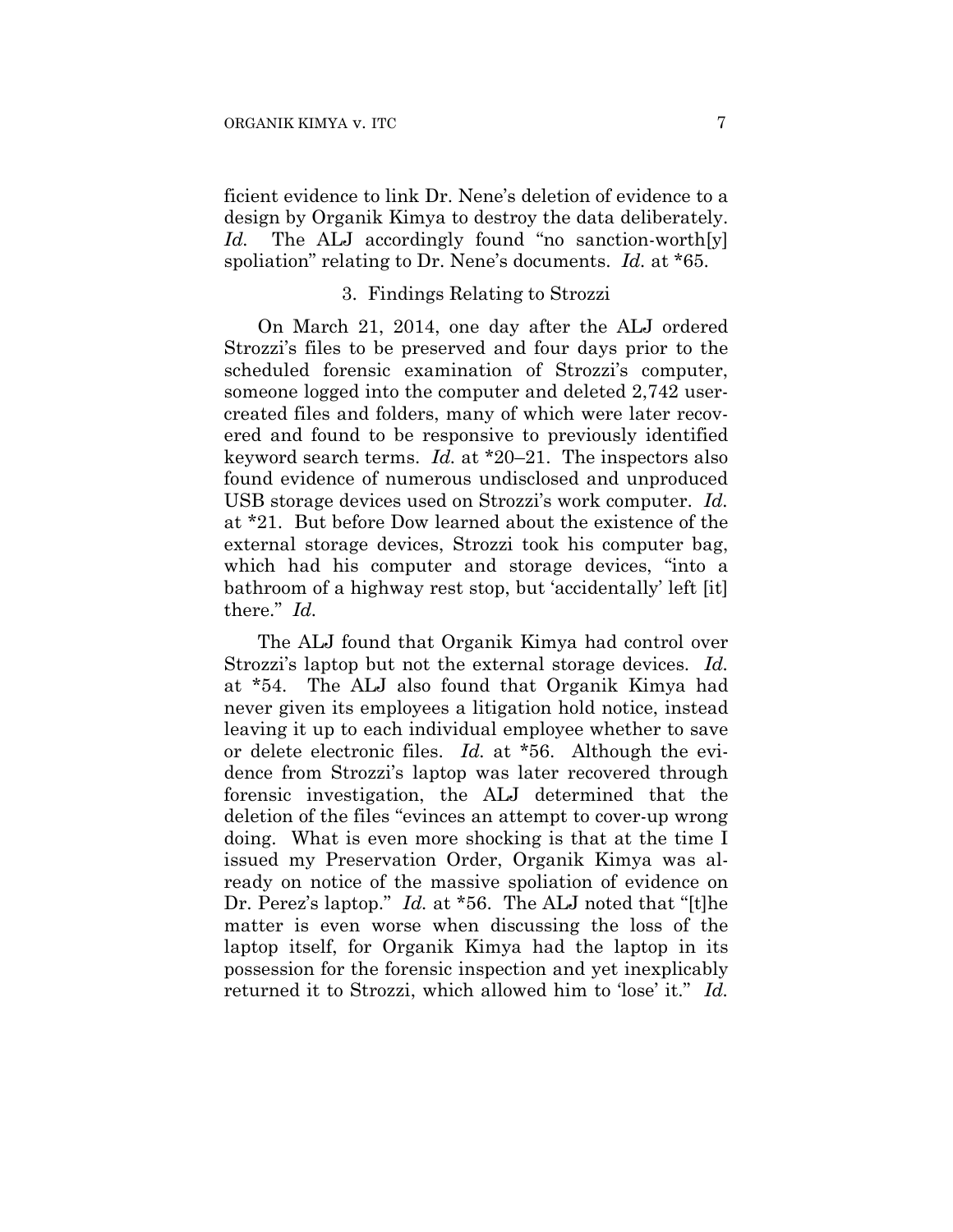ficient evidence to link Dr. Nene's deletion of evidence to a design by Organik Kimya to destroy the data deliberately. *Id.* The ALJ accordingly found "no sanction-worth[y] spoliation" relating to Dr. Nene's documents. *Id.* at \*65.

# 3. Findings Relating to Strozzi

On March 21, 2014, one day after the ALJ ordered Strozzi's files to be preserved and four days prior to the scheduled forensic examination of Strozzi's computer, someone logged into the computer and deleted 2,742 usercreated files and folders, many of which were later recovered and found to be responsive to previously identified keyword search terms. *Id.* at \*20–21. The inspectors also found evidence of numerous undisclosed and unproduced USB storage devices used on Strozzi's work computer. *Id.* at \*21. But before Dow learned about the existence of the external storage devices, Strozzi took his computer bag, which had his computer and storage devices, "into a bathroom of a highway rest stop, but 'accidentally' left [it] there." *Id.*

The ALJ found that Organik Kimya had control over Strozzi's laptop but not the external storage devices. *Id.* at \*54. The ALJ also found that Organik Kimya had never given its employees a litigation hold notice, instead leaving it up to each individual employee whether to save or delete electronic files. *Id.* at \*56. Although the evidence from Strozzi's laptop was later recovered through forensic investigation, the ALJ determined that the deletion of the files "evinces an attempt to cover-up wrong doing. What is even more shocking is that at the time I issued my Preservation Order, Organik Kimya was already on notice of the massive spoliation of evidence on Dr. Perez's laptop." *Id.* at \*56. The ALJ noted that "[t]he matter is even worse when discussing the loss of the laptop itself, for Organik Kimya had the laptop in its possession for the forensic inspection and yet inexplicably returned it to Strozzi, which allowed him to 'lose' it." *Id.*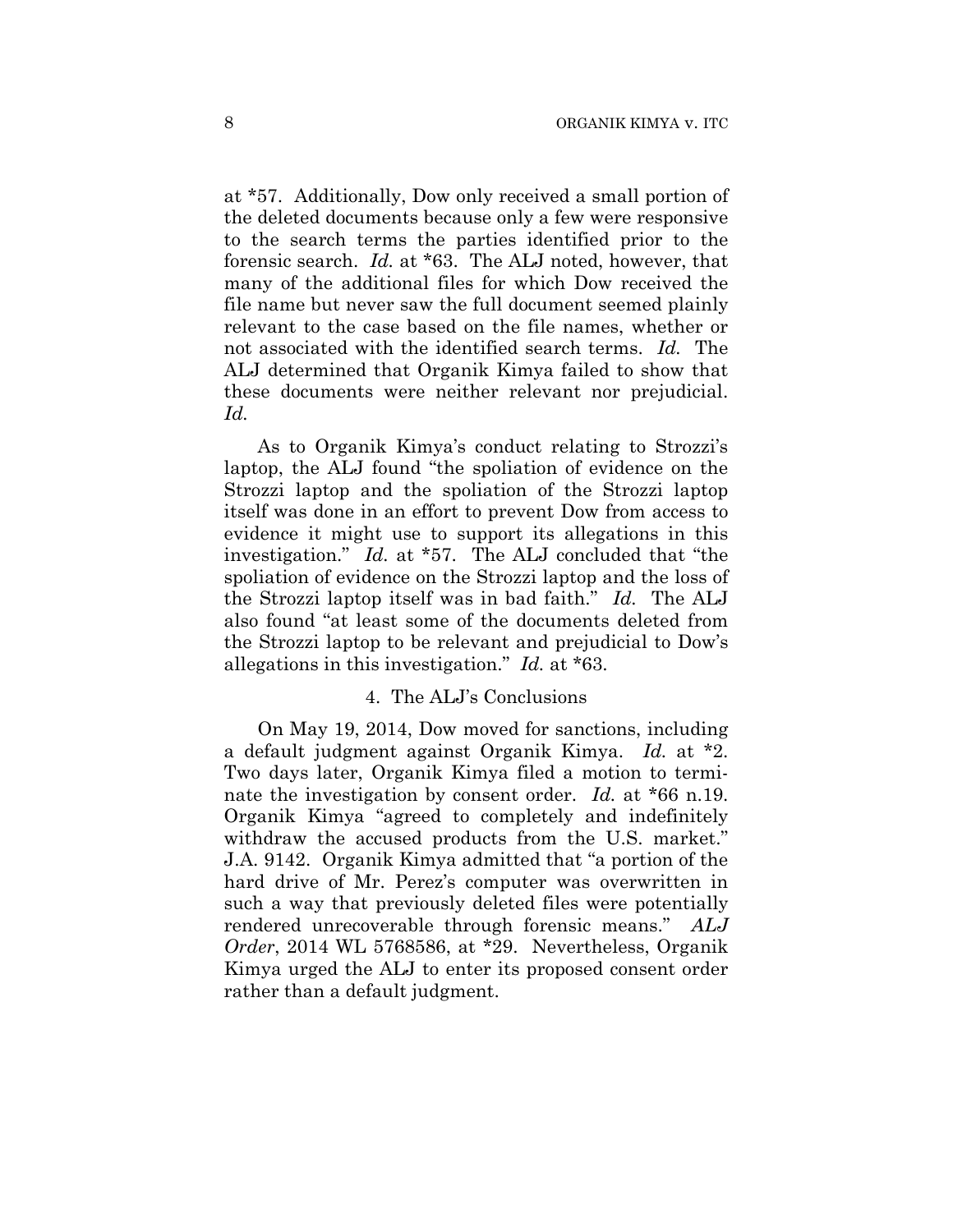at \*57. Additionally, Dow only received a small portion of the deleted documents because only a few were responsive to the search terms the parties identified prior to the forensic search. *Id.* at \*63. The ALJ noted, however, that many of the additional files for which Dow received the file name but never saw the full document seemed plainly relevant to the case based on the file names, whether or not associated with the identified search terms. *Id.* The ALJ determined that Organik Kimya failed to show that these documents were neither relevant nor prejudicial. *Id.*

As to Organik Kimya's conduct relating to Strozzi's laptop, the ALJ found "the spoliation of evidence on the Strozzi laptop and the spoliation of the Strozzi laptop itself was done in an effort to prevent Dow from access to evidence it might use to support its allegations in this investigation." *Id.* at \*57. The ALJ concluded that "the spoliation of evidence on the Strozzi laptop and the loss of the Strozzi laptop itself was in bad faith." *Id.* The ALJ also found "at least some of the documents deleted from the Strozzi laptop to be relevant and prejudicial to Dow's allegations in this investigation." *Id.* at \*63.

## 4. The ALJ's Conclusions

On May 19, 2014, Dow moved for sanctions, including a default judgment against Organik Kimya. *Id.* at \*2. Two days later, Organik Kimya filed a motion to terminate the investigation by consent order. *Id.* at \*66 n.19. Organik Kimya "agreed to completely and indefinitely withdraw the accused products from the U.S. market." J.A. 9142. Organik Kimya admitted that "a portion of the hard drive of Mr. Perez's computer was overwritten in such a way that previously deleted files were potentially rendered unrecoverable through forensic means." *ALJ Order*, 2014 WL 5768586, at \*29. Nevertheless, Organik Kimya urged the ALJ to enter its proposed consent order rather than a default judgment.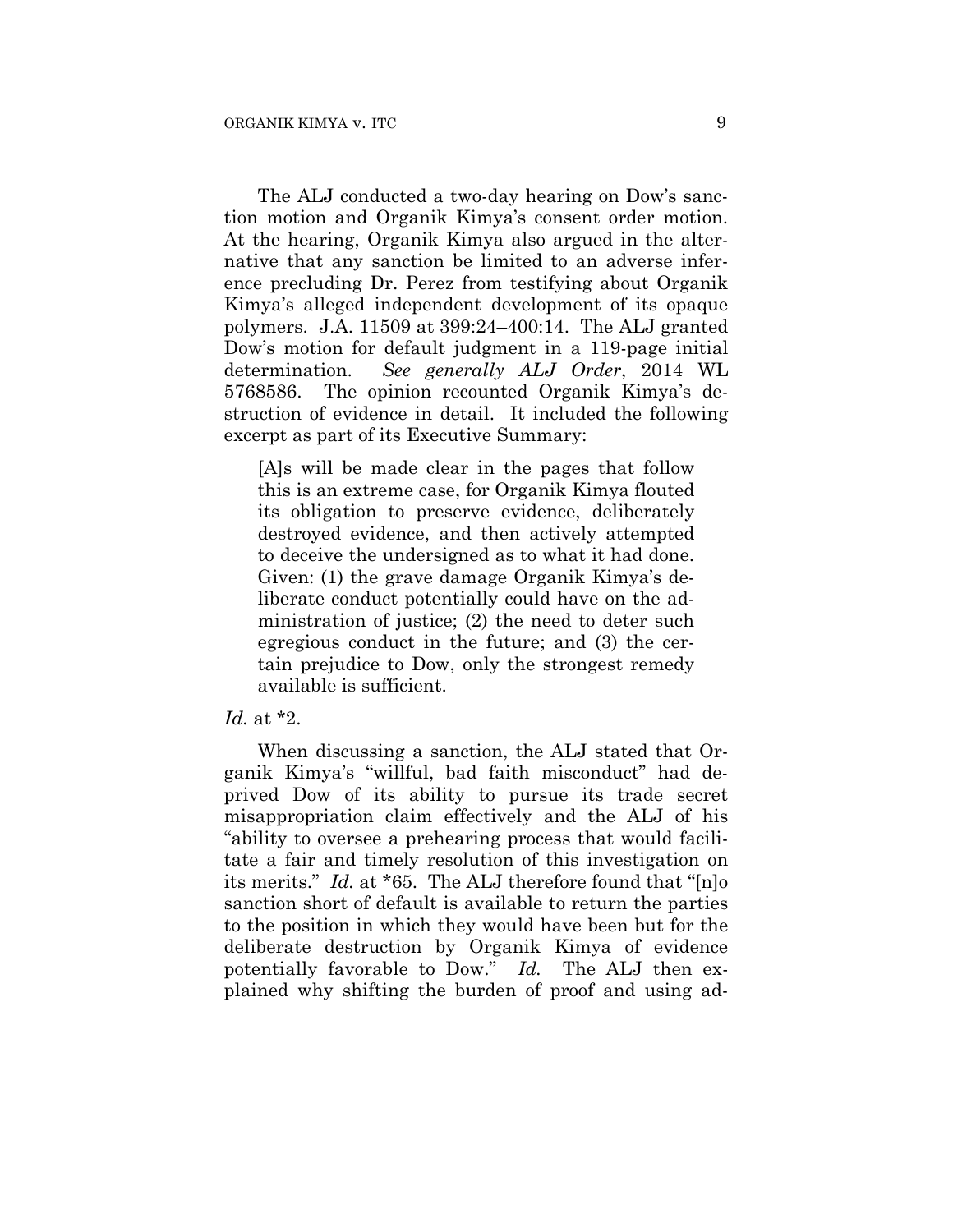The ALJ conducted a two-day hearing on Dow's sanction motion and Organik Kimya's consent order motion. At the hearing, Organik Kimya also argued in the alternative that any sanction be limited to an adverse inference precluding Dr. Perez from testifying about Organik Kimya's alleged independent development of its opaque polymers. J.A. 11509 at 399:24–400:14. The ALJ granted Dow's motion for default judgment in a 119-page initial determination. *See generally ALJ Order*, 2014 WL 5768586. The opinion recounted Organik Kimya's destruction of evidence in detail. It included the following excerpt as part of its Executive Summary:

[A]s will be made clear in the pages that follow this is an extreme case, for Organik Kimya flouted its obligation to preserve evidence, deliberately destroyed evidence, and then actively attempted to deceive the undersigned as to what it had done. Given: (1) the grave damage Organik Kimya's deliberate conduct potentially could have on the administration of justice; (2) the need to deter such egregious conduct in the future; and (3) the certain prejudice to Dow, only the strongest remedy available is sufficient.

# *Id.* at \*2.

When discussing a sanction, the ALJ stated that Organik Kimya's "willful, bad faith misconduct" had deprived Dow of its ability to pursue its trade secret misappropriation claim effectively and the ALJ of his "ability to oversee a prehearing process that would facilitate a fair and timely resolution of this investigation on its merits." *Id.* at \*65. The ALJ therefore found that "[n]o sanction short of default is available to return the parties to the position in which they would have been but for the deliberate destruction by Organik Kimya of evidence potentially favorable to Dow." *Id.* The ALJ then explained why shifting the burden of proof and using ad-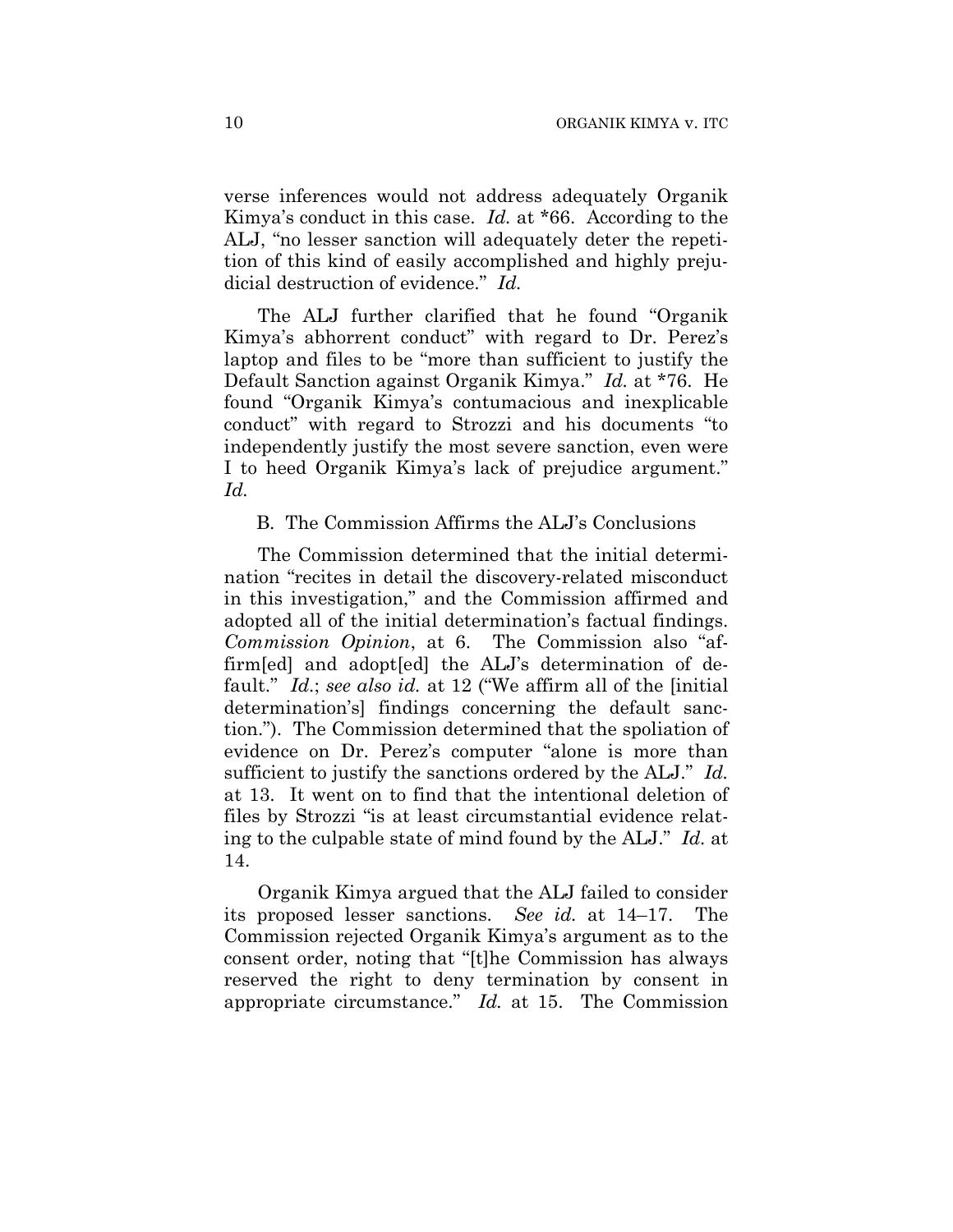verse inferences would not address adequately Organik Kimya's conduct in this case. *Id.* at \*66. According to the ALJ, "no lesser sanction will adequately deter the repetition of this kind of easily accomplished and highly prejudicial destruction of evidence." *Id.*

The ALJ further clarified that he found "Organik Kimya's abhorrent conduct" with regard to Dr. Perez's laptop and files to be "more than sufficient to justify the Default Sanction against Organik Kimya." *Id.* at \*76. He found "Organik Kimya's contumacious and inexplicable conduct" with regard to Strozzi and his documents "to independently justify the most severe sanction, even were I to heed Organik Kimya's lack of prejudice argument." *Id.*

# B. The Commission Affirms the ALJ's Conclusions

The Commission determined that the initial determination "recites in detail the discovery-related misconduct in this investigation," and the Commission affirmed and adopted all of the initial determination's factual findings. *Commission Opinion*, at 6. The Commission also "affirm[ed] and adopt[ed] the ALJ's determination of default." *Id.*; *see also id.* at 12 ("We affirm all of the [initial determination's] findings concerning the default sanction."). The Commission determined that the spoliation of evidence on Dr. Perez's computer "alone is more than sufficient to justify the sanctions ordered by the ALJ." *Id.* at 13. It went on to find that the intentional deletion of files by Strozzi "is at least circumstantial evidence relating to the culpable state of mind found by the ALJ." *Id.* at 14.

Organik Kimya argued that the ALJ failed to consider its proposed lesser sanctions. *See id.* at 14–17. The Commission rejected Organik Kimya's argument as to the consent order, noting that "[t]he Commission has always reserved the right to deny termination by consent in appropriate circumstance." *Id.* at 15. The Commission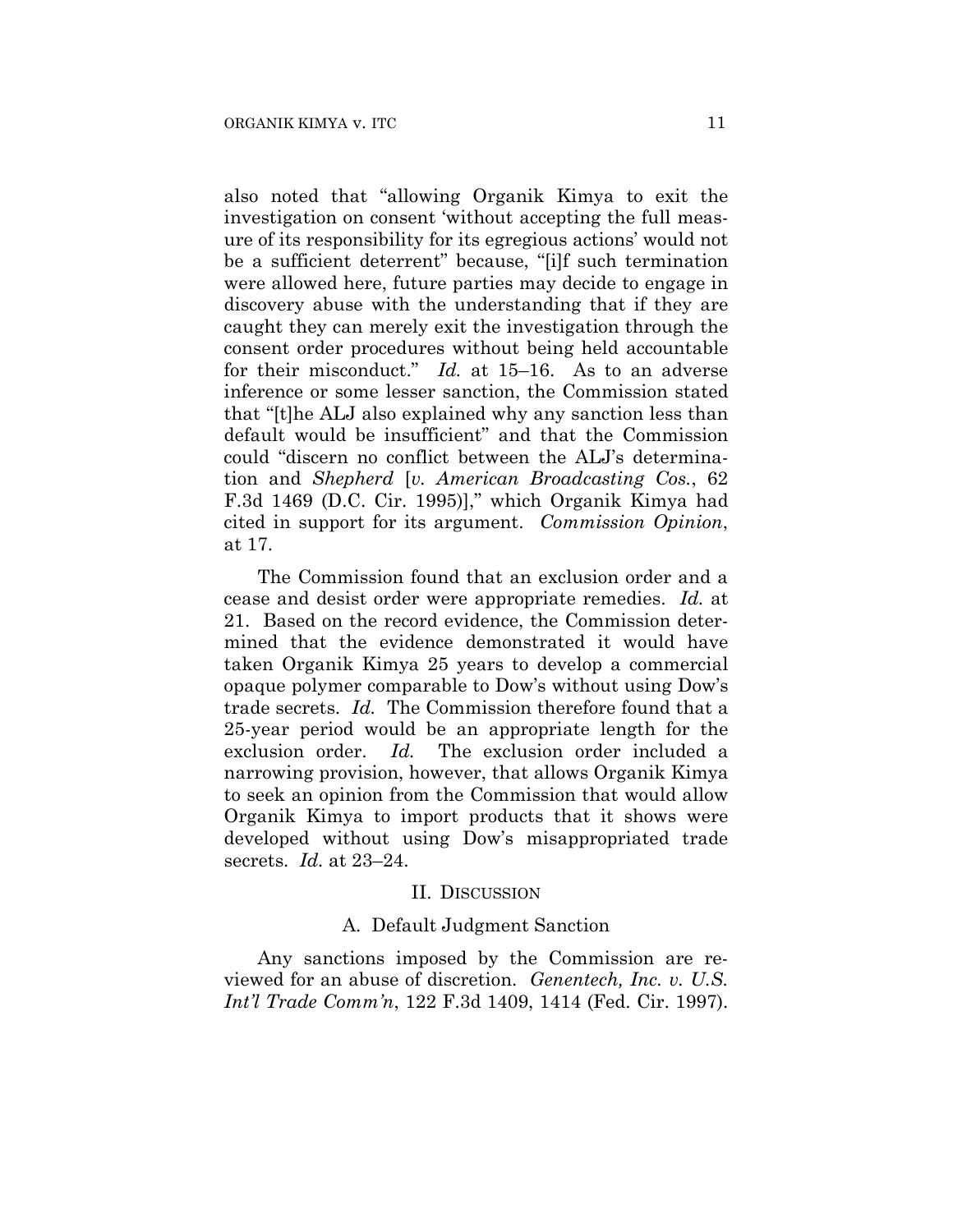also noted that "allowing Organik Kimya to exit the investigation on consent 'without accepting the full measure of its responsibility for its egregious actions' would not be a sufficient deterrent" because, "[i]f such termination were allowed here, future parties may decide to engage in discovery abuse with the understanding that if they are caught they can merely exit the investigation through the consent order procedures without being held accountable for their misconduct." *Id.* at 15–16. As to an adverse inference or some lesser sanction, the Commission stated that "[t]he ALJ also explained why any sanction less than default would be insufficient" and that the Commission could "discern no conflict between the ALJ's determination and *Shepherd* [*v. American Broadcasting Cos.*, 62 F.3d 1469 (D.C. Cir. 1995)]," which Organik Kimya had cited in support for its argument. *Commission Opinion*, at 17.

The Commission found that an exclusion order and a cease and desist order were appropriate remedies. *Id.* at 21. Based on the record evidence, the Commission determined that the evidence demonstrated it would have taken Organik Kimya 25 years to develop a commercial opaque polymer comparable to Dow's without using Dow's trade secrets. *Id.* The Commission therefore found that a 25-year period would be an appropriate length for the exclusion order. *Id.* The exclusion order included a narrowing provision, however, that allows Organik Kimya to seek an opinion from the Commission that would allow Organik Kimya to import products that it shows were developed without using Dow's misappropriated trade secrets. *Id.* at 23–24.

#### II. DISCUSSION

#### A. Default Judgment Sanction

Any sanctions imposed by the Commission are reviewed for an abuse of discretion. *Genentech, Inc. v. U.S. Int'l Trade Comm'n*, 122 F.3d 1409, 1414 (Fed. Cir. 1997).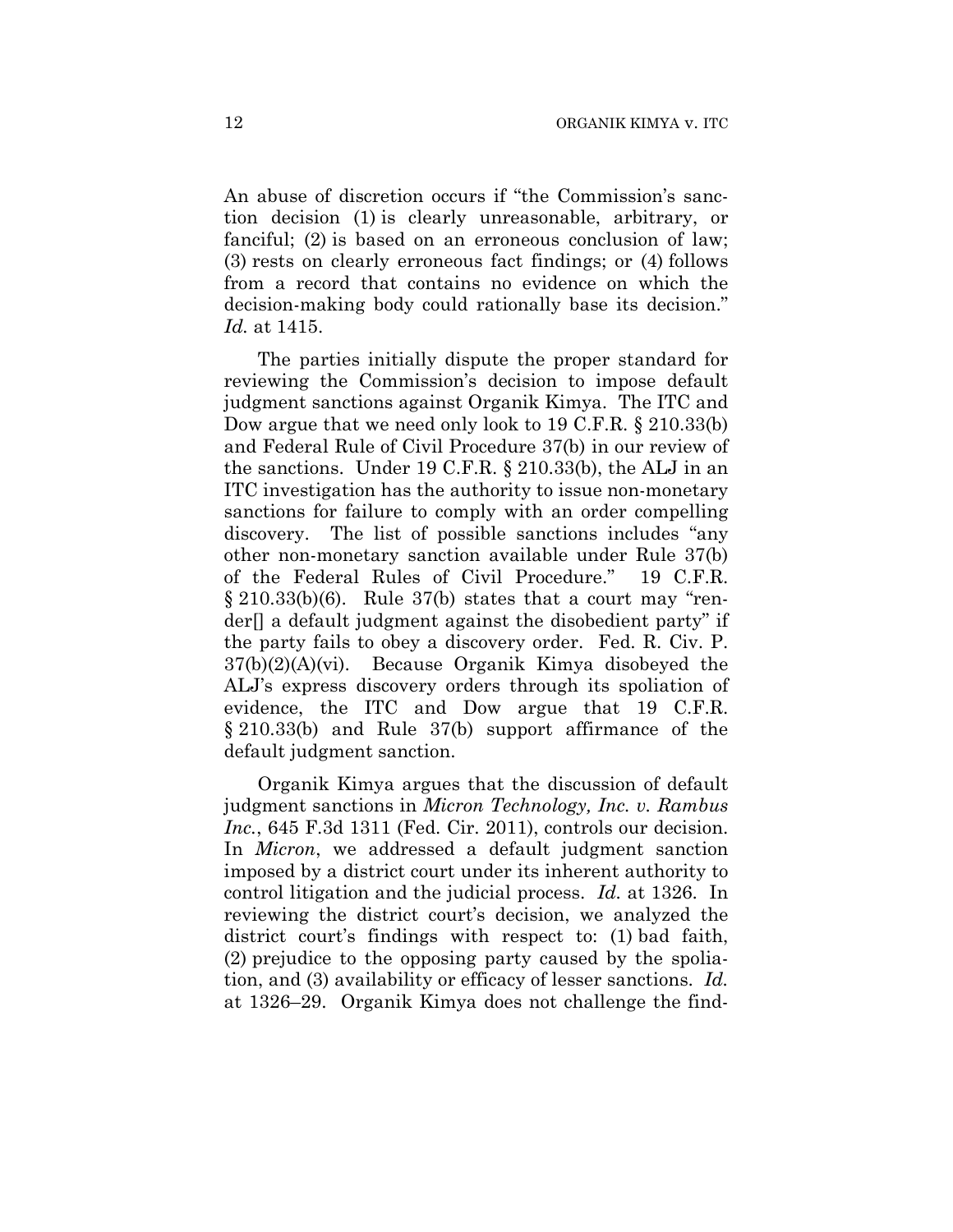An abuse of discretion occurs if "the Commission's sanction decision (1) is clearly unreasonable, arbitrary, or fanciful; (2) is based on an erroneous conclusion of law; (3) rests on clearly erroneous fact findings; or (4) follows from a record that contains no evidence on which the decision-making body could rationally base its decision." *Id.* at 1415.

The parties initially dispute the proper standard for reviewing the Commission's decision to impose default judgment sanctions against Organik Kimya. The ITC and Dow argue that we need only look to 19 C.F.R. § 210.33(b) and Federal Rule of Civil Procedure 37(b) in our review of the sanctions. Under 19 C.F.R. § 210.33(b), the ALJ in an ITC investigation has the authority to issue non-monetary sanctions for failure to comply with an order compelling discovery. The list of possible sanctions includes "any other non-monetary sanction available under Rule 37(b) of the Federal Rules of Civil Procedure." 19 C.F.R.  $\S 210.33(b)(6)$ . Rule 37(b) states that a court may "render[] a default judgment against the disobedient party" if the party fails to obey a discovery order. Fed. R. Civ. P. 37(b)(2)(A)(vi). Because Organik Kimya disobeyed the ALJ's express discovery orders through its spoliation of evidence, the ITC and Dow argue that 19 C.F.R. § 210.33(b) and Rule 37(b) support affirmance of the default judgment sanction.

Organik Kimya argues that the discussion of default judgment sanctions in *Micron Technology, Inc. v. Rambus Inc.*, 645 F.3d 1311 (Fed. Cir. 2011), controls our decision. In *Micron*, we addressed a default judgment sanction imposed by a district court under its inherent authority to control litigation and the judicial process. *Id.* at 1326. In reviewing the district court's decision, we analyzed the district court's findings with respect to: (1) bad faith, (2) prejudice to the opposing party caused by the spoliation, and (3) availability or efficacy of lesser sanctions. *Id.* at 1326–29. Organik Kimya does not challenge the find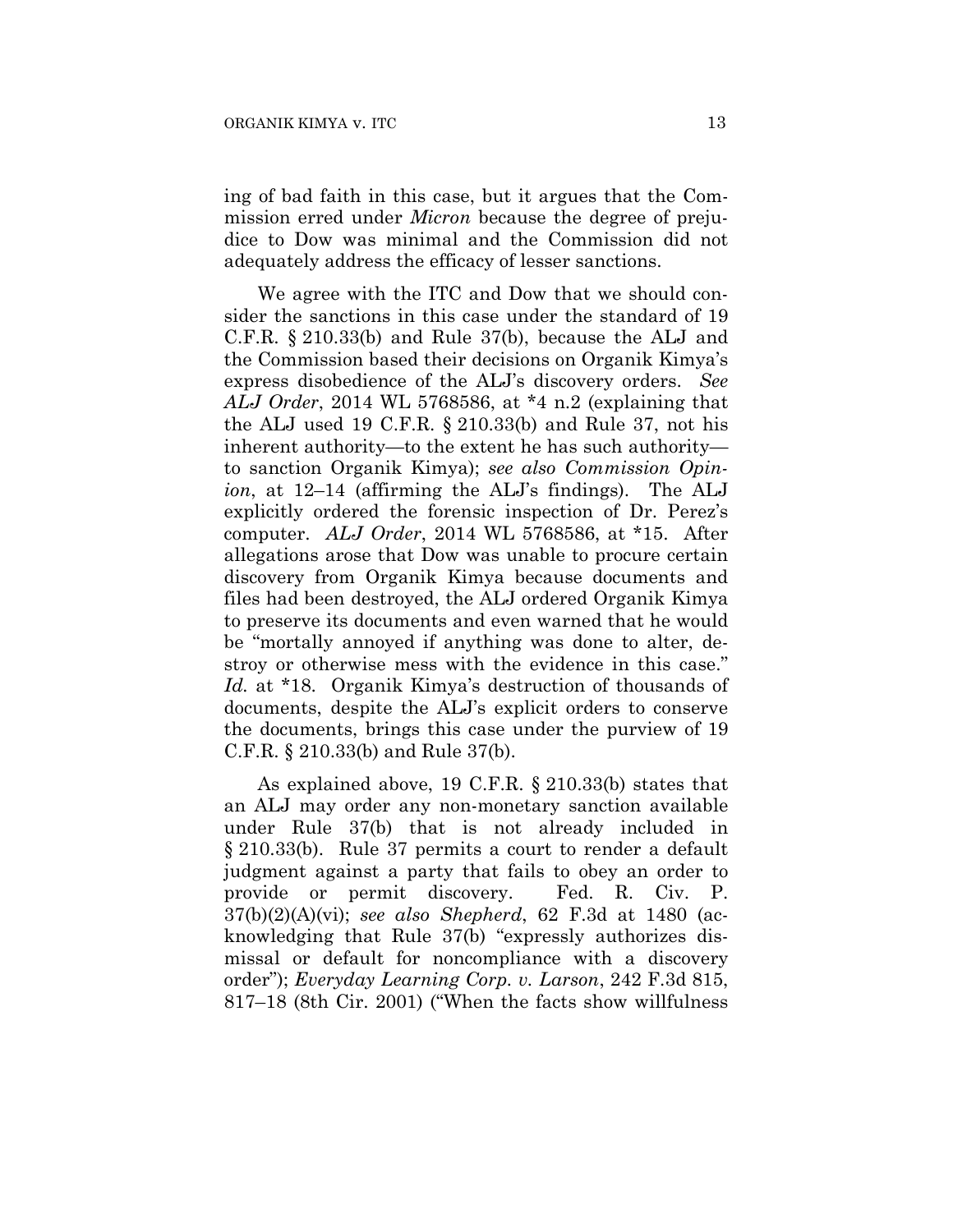ing of bad faith in this case, but it argues that the Commission erred under *Micron* because the degree of prejudice to Dow was minimal and the Commission did not adequately address the efficacy of lesser sanctions.

We agree with the ITC and Dow that we should consider the sanctions in this case under the standard of 19 C.F.R. § 210.33(b) and Rule 37(b), because the ALJ and the Commission based their decisions on Organik Kimya's express disobedience of the ALJ's discovery orders. *See ALJ Order*, 2014 WL 5768586, at \*4 n.2 (explaining that the ALJ used 19 C.F.R. § 210.33(b) and Rule 37, not his inherent authority—to the extent he has such authority to sanction Organik Kimya); *see also Commission Opinion*, at 12–14 (affirming the ALJ's findings). The ALJ explicitly ordered the forensic inspection of Dr. Perez's computer. *ALJ Order*, 2014 WL 5768586, at \*15. After allegations arose that Dow was unable to procure certain discovery from Organik Kimya because documents and files had been destroyed, the ALJ ordered Organik Kimya to preserve its documents and even warned that he would be "mortally annoyed if anything was done to alter, destroy or otherwise mess with the evidence in this case." *Id.* at \*18. Organik Kimya's destruction of thousands of documents, despite the ALJ's explicit orders to conserve the documents, brings this case under the purview of 19 C.F.R. § 210.33(b) and Rule 37(b).

As explained above, 19 C.F.R. § 210.33(b) states that an ALJ may order any non-monetary sanction available under Rule 37(b) that is not already included in § 210.33(b). Rule 37 permits a court to render a default judgment against a party that fails to obey an order to provide or permit discovery. Fed. R. Civ. P. 37(b)(2)(A)(vi); *see also Shepherd*, 62 F.3d at 1480 (acknowledging that Rule 37(b) "expressly authorizes dismissal or default for noncompliance with a discovery order"); *Everyday Learning Corp. v. Larson*, 242 F.3d 815, 817–18 (8th Cir. 2001) ("When the facts show willfulness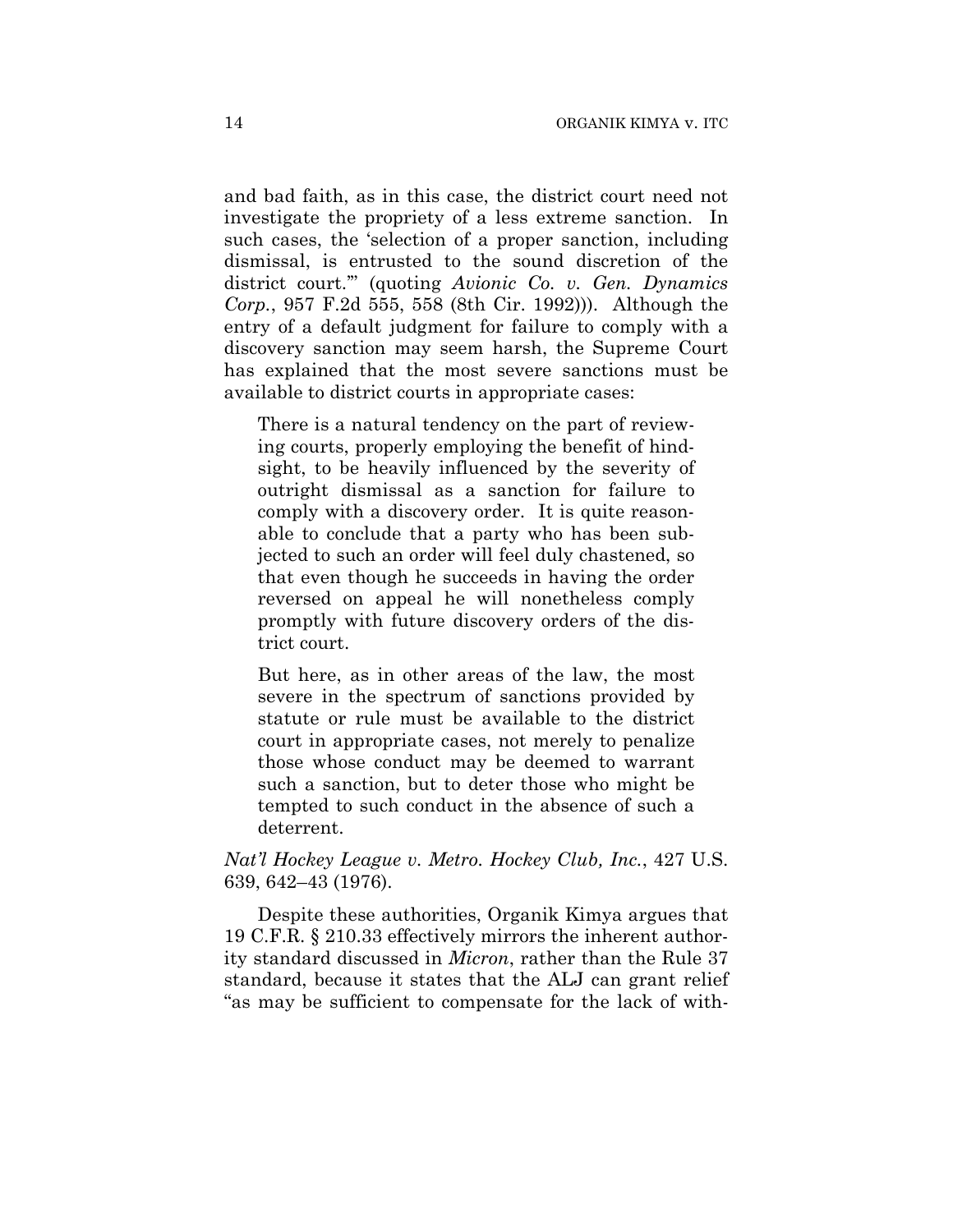and bad faith, as in this case, the district court need not investigate the propriety of a less extreme sanction. In such cases, the 'selection of a proper sanction, including dismissal, is entrusted to the sound discretion of the district court.'" (quoting *Avionic Co. v. Gen. Dynamics Corp.*, 957 F.2d 555, 558 (8th Cir. 1992))). Although the entry of a default judgment for failure to comply with a discovery sanction may seem harsh, the Supreme Court has explained that the most severe sanctions must be available to district courts in appropriate cases:

There is a natural tendency on the part of reviewing courts, properly employing the benefit of hindsight, to be heavily influenced by the severity of outright dismissal as a sanction for failure to comply with a discovery order. It is quite reasonable to conclude that a party who has been subjected to such an order will feel duly chastened, so that even though he succeeds in having the order reversed on appeal he will nonetheless comply promptly with future discovery orders of the district court.

But here, as in other areas of the law, the most severe in the spectrum of sanctions provided by statute or rule must be available to the district court in appropriate cases, not merely to penalize those whose conduct may be deemed to warrant such a sanction, but to deter those who might be tempted to such conduct in the absence of such a deterrent.

# *Nat'l Hockey League v. Metro. Hockey Club, Inc.*, 427 U.S. 639, 642–43 (1976).

Despite these authorities, Organik Kimya argues that 19 C.F.R. § 210.33 effectively mirrors the inherent authority standard discussed in *Micron*, rather than the Rule 37 standard, because it states that the ALJ can grant relief "as may be sufficient to compensate for the lack of with-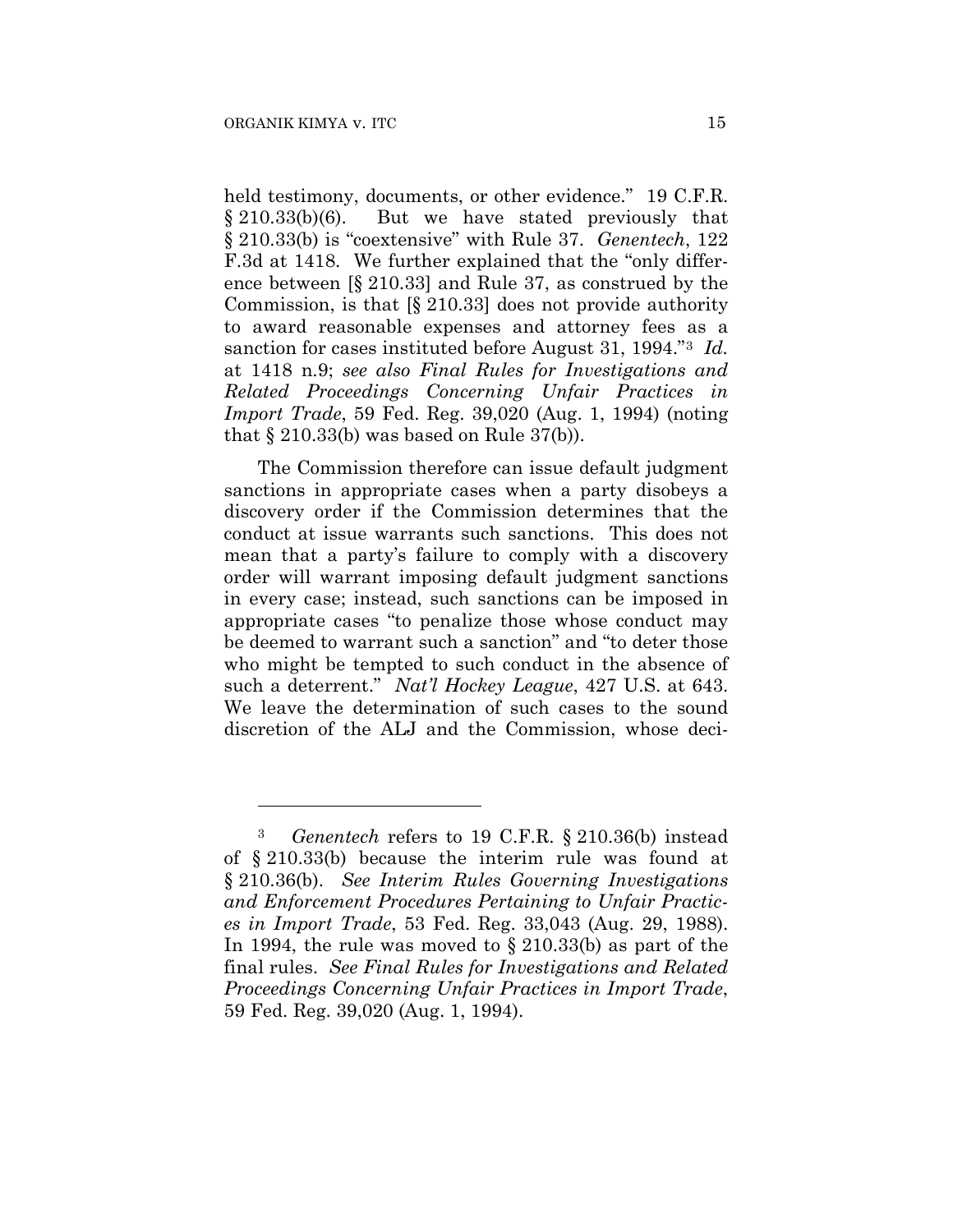1

held testimony, documents, or other evidence." 19 C.F.R. § 210.33(b)(6). But we have stated previously that § 210.33(b) is "coextensive" with Rule 37. *Genentech*, 122 F.3d at 1418. We further explained that the "only difference between [§ 210.33] and Rule 37, as construed by the Commission, is that [§ 210.33] does not provide authority to award reasonable expenses and attorney fees as a sanction for cases instituted before August 31, 1994."3 *Id.* at 1418 n.9; *see also Final Rules for Investigations and Related Proceedings Concerning Unfair Practices in Import Trade*, 59 Fed. Reg. 39,020 (Aug. 1, 1994) (noting that  $\S 210.33(b)$  was based on Rule 37(b)).

The Commission therefore can issue default judgment sanctions in appropriate cases when a party disobeys a discovery order if the Commission determines that the conduct at issue warrants such sanctions. This does not mean that a party's failure to comply with a discovery order will warrant imposing default judgment sanctions in every case; instead, such sanctions can be imposed in appropriate cases "to penalize those whose conduct may be deemed to warrant such a sanction" and "to deter those who might be tempted to such conduct in the absence of such a deterrent." *Nat'l Hockey League*, 427 U.S. at 643. We leave the determination of such cases to the sound discretion of the ALJ and the Commission, whose deci-

<sup>3</sup> *Genentech* refers to 19 C.F.R. § 210.36(b) instead of § 210.33(b) because the interim rule was found at § 210.36(b). *See Interim Rules Governing Investigations and Enforcement Procedures Pertaining to Unfair Practices in Import Trade*, 53 Fed. Reg. 33,043 (Aug. 29, 1988). In 1994, the rule was moved to § 210.33(b) as part of the final rules. *See Final Rules for Investigations and Related Proceedings Concerning Unfair Practices in Import Trade*, 59 Fed. Reg. 39,020 (Aug. 1, 1994).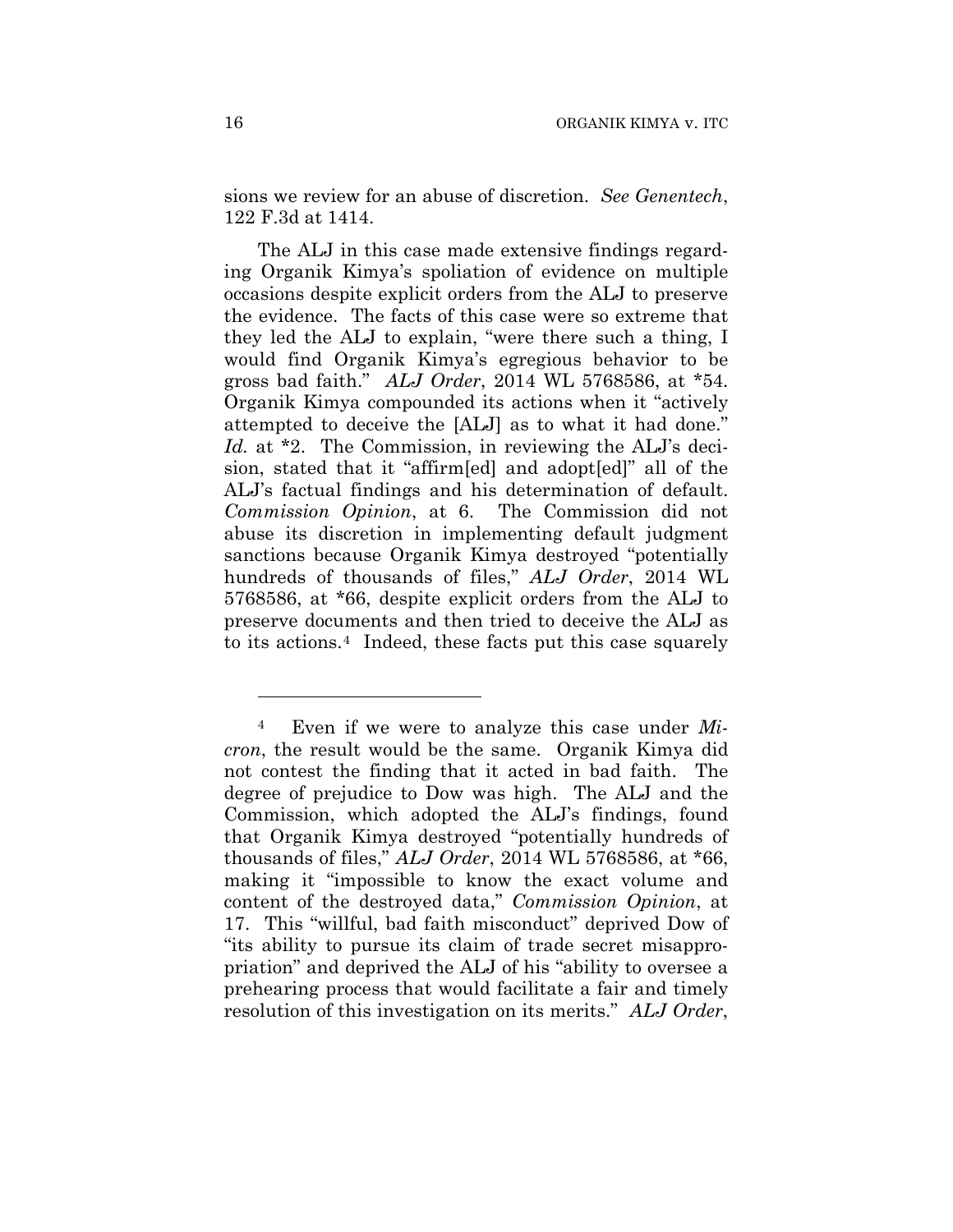sions we review for an abuse of discretion. *See Genentech*, 122 F.3d at 1414.

The ALJ in this case made extensive findings regarding Organik Kimya's spoliation of evidence on multiple occasions despite explicit orders from the ALJ to preserve the evidence. The facts of this case were so extreme that they led the ALJ to explain, "were there such a thing, I would find Organik Kimya's egregious behavior to be gross bad faith." *ALJ Order*, 2014 WL 5768586, at \*54. Organik Kimya compounded its actions when it "actively attempted to deceive the [ALJ] as to what it had done." *Id.* at \*2. The Commission, in reviewing the ALJ's decision, stated that it "affirm[ed] and adopt[ed]" all of the ALJ's factual findings and his determination of default. *Commission Opinion*, at 6. The Commission did not abuse its discretion in implementing default judgment sanctions because Organik Kimya destroyed "potentially hundreds of thousands of files," *ALJ Order*, 2014 WL 5768586, at \*66, despite explicit orders from the ALJ to preserve documents and then tried to deceive the ALJ as to its actions.4 Indeed, these facts put this case squarely

1

<sup>4</sup> Even if we were to analyze this case under *Micron*, the result would be the same. Organik Kimya did not contest the finding that it acted in bad faith. The degree of prejudice to Dow was high. The ALJ and the Commission, which adopted the ALJ's findings, found that Organik Kimya destroyed "potentially hundreds of thousands of files," *ALJ Order*, 2014 WL 5768586, at \*66, making it "impossible to know the exact volume and content of the destroyed data," *Commission Opinion*, at 17. This "willful, bad faith misconduct" deprived Dow of "its ability to pursue its claim of trade secret misappropriation" and deprived the ALJ of his "ability to oversee a prehearing process that would facilitate a fair and timely resolution of this investigation on its merits." *ALJ Order*,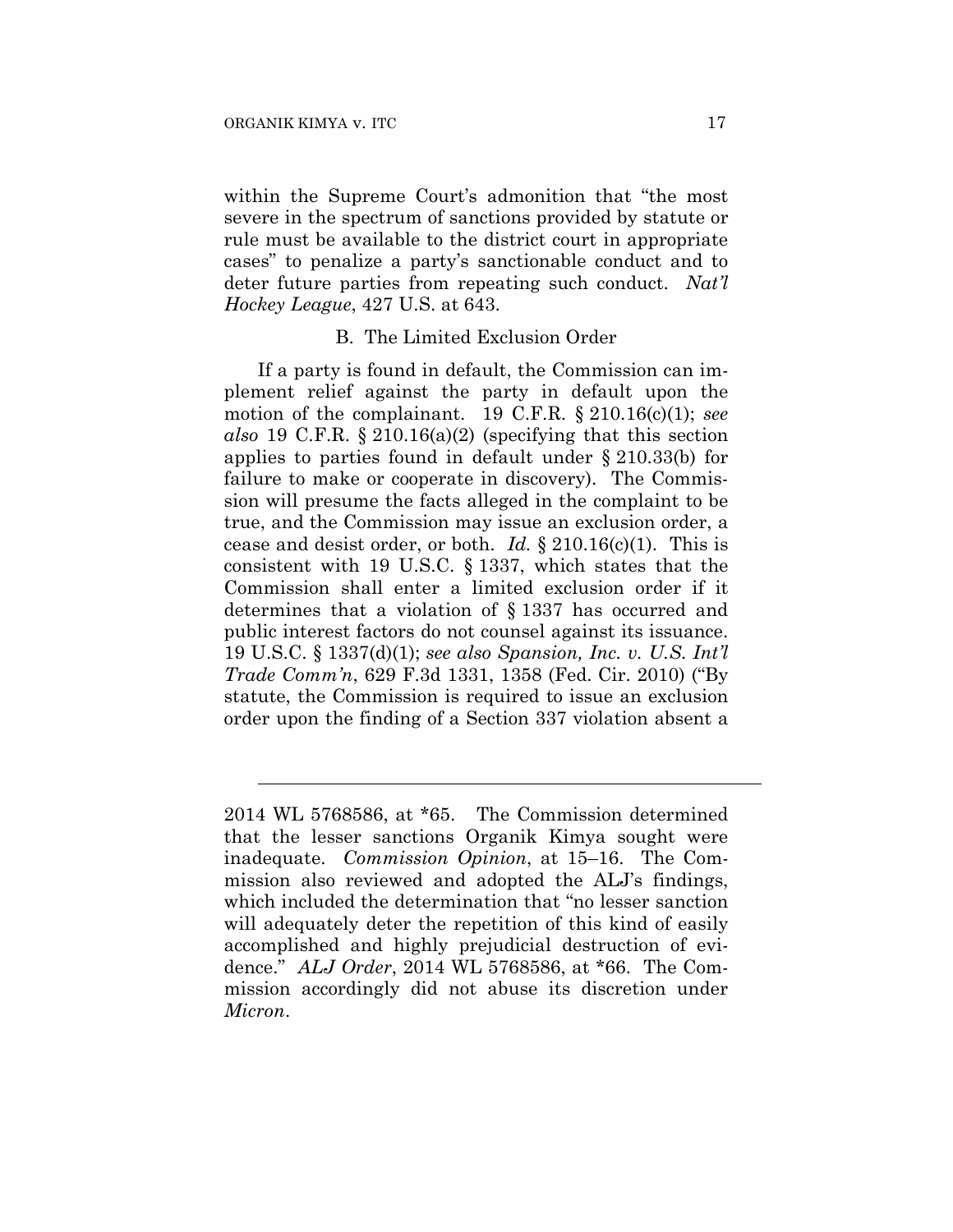$\overline{a}$ 

within the Supreme Court's admonition that "the most severe in the spectrum of sanctions provided by statute or rule must be available to the district court in appropriate cases" to penalize a party's sanctionable conduct and to deter future parties from repeating such conduct. *Nat'l Hockey League*, 427 U.S. at 643.

### B. The Limited Exclusion Order

If a party is found in default, the Commission can implement relief against the party in default upon the motion of the complainant. 19 C.F.R. § 210.16(c)(1); *see also* 19 C.F.R. § 210.16(a)(2) (specifying that this section applies to parties found in default under § 210.33(b) for failure to make or cooperate in discovery). The Commission will presume the facts alleged in the complaint to be true, and the Commission may issue an exclusion order, a cease and desist order, or both. *Id.* § 210.16(c)(1). This is consistent with 19 U.S.C. § 1337, which states that the Commission shall enter a limited exclusion order if it determines that a violation of § 1337 has occurred and public interest factors do not counsel against its issuance. 19 U.S.C. § 1337(d)(1); *see also Spansion, Inc. v. U.S. Int'l Trade Comm'n*, 629 F.3d 1331, 1358 (Fed. Cir. 2010) ("By statute, the Commission is required to issue an exclusion order upon the finding of a Section 337 violation absent a

<sup>2014</sup> WL 5768586, at \*65. The Commission determined that the lesser sanctions Organik Kimya sought were inadequate. *Commission Opinion*, at 15–16. The Commission also reviewed and adopted the ALJ's findings, which included the determination that "no lesser sanction will adequately deter the repetition of this kind of easily accomplished and highly prejudicial destruction of evidence." *ALJ Order*, 2014 WL 5768586, at \*66. The Commission accordingly did not abuse its discretion under *Micron*.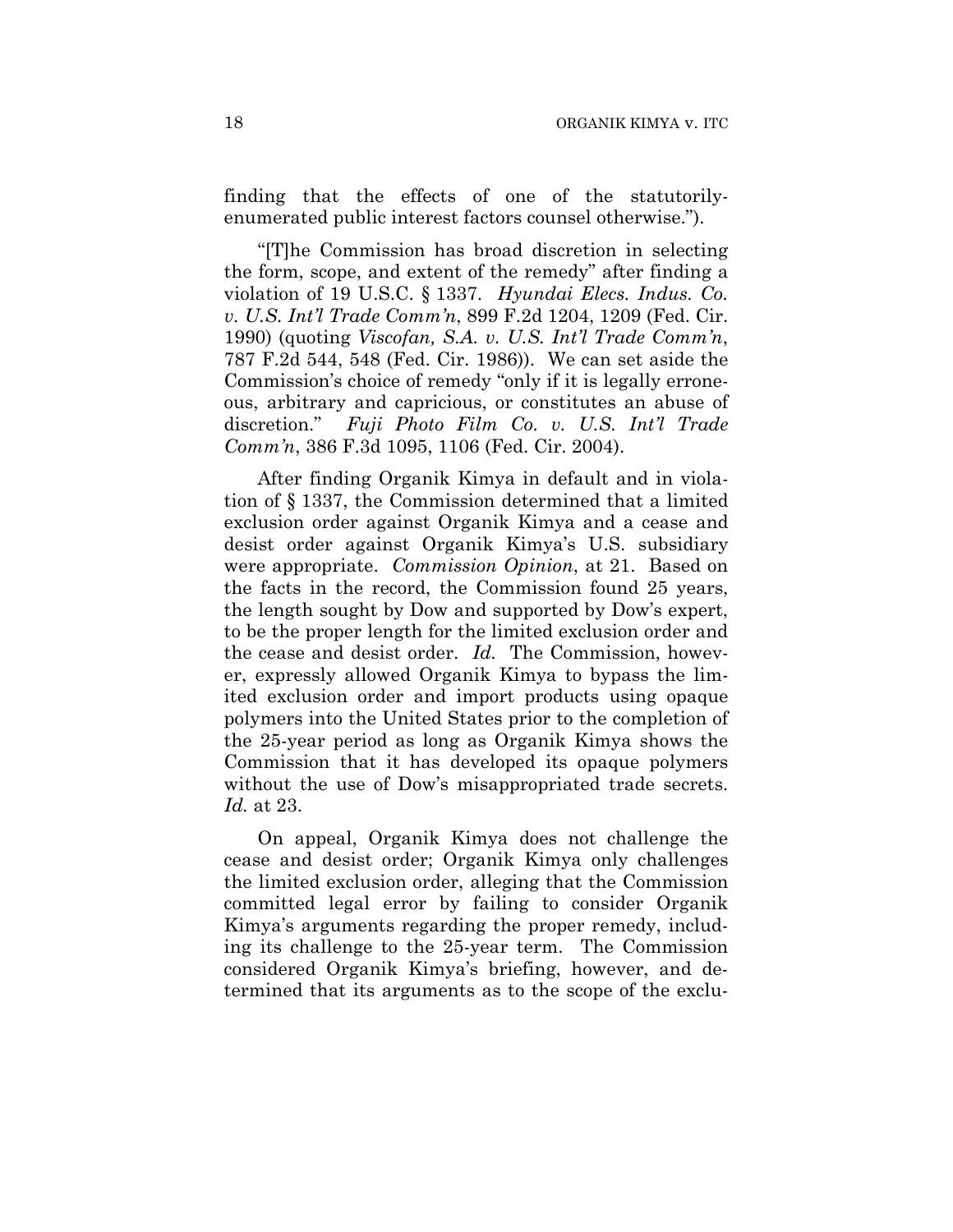finding that the effects of one of the statutorilyenumerated public interest factors counsel otherwise.").

"[T]he Commission has broad discretion in selecting the form, scope, and extent of the remedy" after finding a violation of 19 U.S.C. § 1337. *Hyundai Elecs. Indus. Co. v. U.S. Int'l Trade Comm'n*, 899 F.2d 1204, 1209 (Fed. Cir. 1990) (quoting *Viscofan, S.A. v. U.S. Int'l Trade Comm'n*, 787 F.2d 544, 548 (Fed. Cir. 1986)). We can set aside the Commission's choice of remedy "only if it is legally erroneous, arbitrary and capricious, or constitutes an abuse of discretion." *Fuji Photo Film Co. v. U.S. Int'l Trade Comm'n*, 386 F.3d 1095, 1106 (Fed. Cir. 2004).

After finding Organik Kimya in default and in violation of § 1337, the Commission determined that a limited exclusion order against Organik Kimya and a cease and desist order against Organik Kimya's U.S. subsidiary were appropriate. *Commission Opinion*, at 21. Based on the facts in the record, the Commission found 25 years, the length sought by Dow and supported by Dow's expert, to be the proper length for the limited exclusion order and the cease and desist order. *Id.* The Commission, however, expressly allowed Organik Kimya to bypass the limited exclusion order and import products using opaque polymers into the United States prior to the completion of the 25-year period as long as Organik Kimya shows the Commission that it has developed its opaque polymers without the use of Dow's misappropriated trade secrets. *Id.* at 23.

On appeal, Organik Kimya does not challenge the cease and desist order; Organik Kimya only challenges the limited exclusion order, alleging that the Commission committed legal error by failing to consider Organik Kimya's arguments regarding the proper remedy, including its challenge to the 25-year term. The Commission considered Organik Kimya's briefing, however, and determined that its arguments as to the scope of the exclu-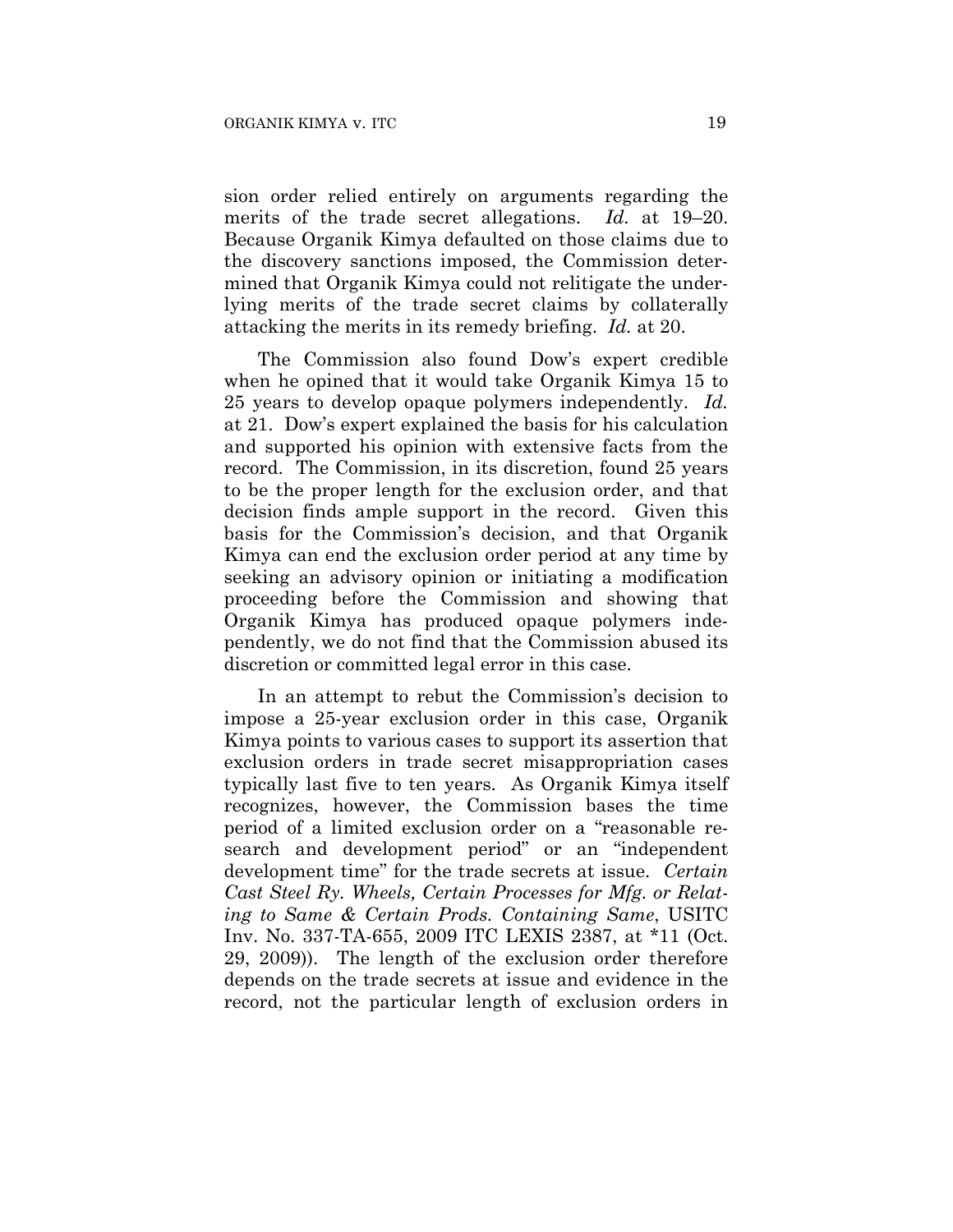sion order relied entirely on arguments regarding the merits of the trade secret allegations. *Id.* at 19–20. Because Organik Kimya defaulted on those claims due to the discovery sanctions imposed, the Commission determined that Organik Kimya could not relitigate the underlying merits of the trade secret claims by collaterally attacking the merits in its remedy briefing. *Id.* at 20.

The Commission also found Dow's expert credible when he opined that it would take Organik Kimya 15 to 25 years to develop opaque polymers independently. *Id.* at 21. Dow's expert explained the basis for his calculation and supported his opinion with extensive facts from the record. The Commission, in its discretion, found 25 years to be the proper length for the exclusion order, and that decision finds ample support in the record. Given this basis for the Commission's decision, and that Organik Kimya can end the exclusion order period at any time by seeking an advisory opinion or initiating a modification proceeding before the Commission and showing that Organik Kimya has produced opaque polymers independently, we do not find that the Commission abused its discretion or committed legal error in this case.

In an attempt to rebut the Commission's decision to impose a 25-year exclusion order in this case, Organik Kimya points to various cases to support its assertion that exclusion orders in trade secret misappropriation cases typically last five to ten years. As Organik Kimya itself recognizes, however, the Commission bases the time period of a limited exclusion order on a "reasonable research and development period" or an "independent development time" for the trade secrets at issue. *Certain Cast Steel Ry. Wheels, Certain Processes for Mfg. or Relating to Same & Certain Prods. Containing Same*, USITC Inv. No. 337-TA-655, 2009 ITC LEXIS 2387, at \*11 (Oct. 29, 2009)). The length of the exclusion order therefore depends on the trade secrets at issue and evidence in the record, not the particular length of exclusion orders in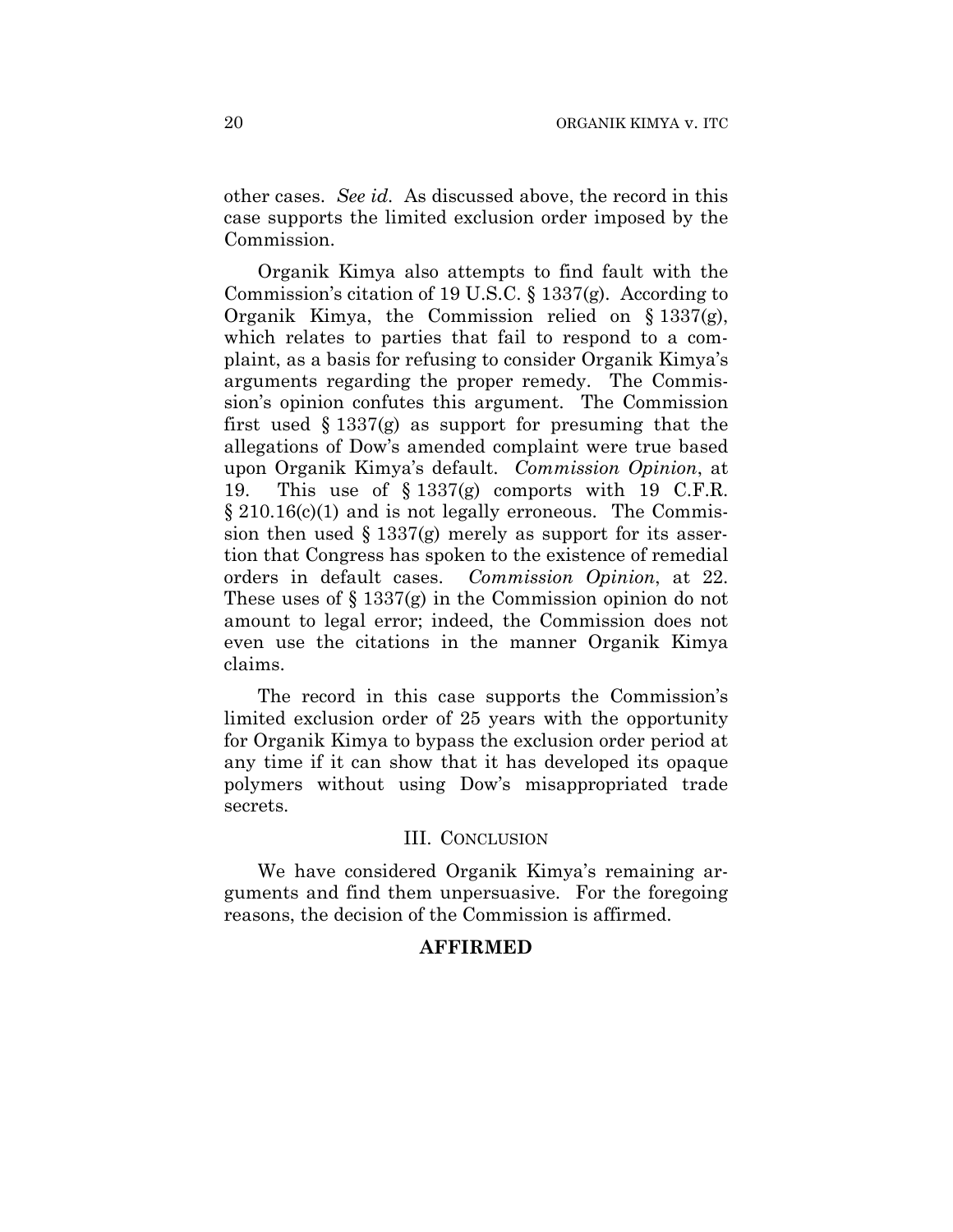other cases. *See id.* As discussed above, the record in this case supports the limited exclusion order imposed by the Commission.

Organik Kimya also attempts to find fault with the Commission's citation of 19 U.S.C. § 1337(g). According to Organik Kimya, the Commission relied on § 1337(g), which relates to parties that fail to respond to a complaint, as a basis for refusing to consider Organik Kimya's arguments regarding the proper remedy. The Commission's opinion confutes this argument. The Commission first used  $\S 1337(g)$  as support for presuming that the allegations of Dow's amended complaint were true based upon Organik Kimya's default. *Commission Opinion*, at 19. This use of  $\S 1337(g)$  comports with 19 C.F.R. § 210.16(c)(1) and is not legally erroneous. The Commission then used  $\S 1337(g)$  merely as support for its assertion that Congress has spoken to the existence of remedial orders in default cases. *Commission Opinion*, at 22. These uses of  $\S 1337(g)$  in the Commission opinion do not amount to legal error; indeed, the Commission does not even use the citations in the manner Organik Kimya claims.

The record in this case supports the Commission's limited exclusion order of 25 years with the opportunity for Organik Kimya to bypass the exclusion order period at any time if it can show that it has developed its opaque polymers without using Dow's misappropriated trade secrets.

# III. CONCLUSION

We have considered Organik Kimya's remaining arguments and find them unpersuasive. For the foregoing reasons, the decision of the Commission is affirmed.

## **AFFIRMED**